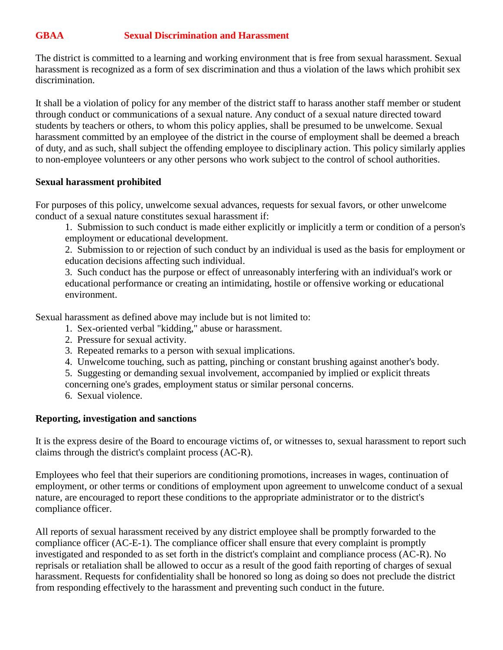## **GBAA Sexual Discrimination and Harassment**

The district is committed to a learning and working environment that is free from sexual harassment. Sexual harassment is recognized as a form of sex discrimination and thus a violation of the laws which prohibit sex discrimination.

It shall be a violation of policy for any member of the district staff to harass another staff member or student through conduct or communications of a sexual nature. Any conduct of a sexual nature directed toward students by teachers or others, to whom this policy applies, shall be presumed to be unwelcome. Sexual harassment committed by an employee of the district in the course of employment shall be deemed a breach of duty, and as such, shall subject the offending employee to disciplinary action. This policy similarly applies to non-employee volunteers or any other persons who work subject to the control of school authorities.

## **Sexual harassment prohibited**

For purposes of this policy, unwelcome sexual advances, requests for sexual favors, or other unwelcome conduct of a sexual nature constitutes sexual harassment if:

1. Submission to such conduct is made either explicitly or implicitly a term or condition of a person's employment or educational development.

2. Submission to or rejection of such conduct by an individual is used as the basis for employment or education decisions affecting such individual.

3. Such conduct has the purpose or effect of unreasonably interfering with an individual's work or educational performance or creating an intimidating, hostile or offensive working or educational environment.

Sexual harassment as defined above may include but is not limited to:

- 1. Sex-oriented verbal "kidding," abuse or harassment.
- 2. Pressure for sexual activity.
- 3. Repeated remarks to a person with sexual implications.
- 4. Unwelcome touching, such as patting, pinching or constant brushing against another's body.
- 5. Suggesting or demanding sexual involvement, accompanied by implied or explicit threats

concerning one's grades, employment status or similar personal concerns.

6. Sexual violence.

## **Reporting, investigation and sanctions**

It is the express desire of the Board to encourage victims of, or witnesses to, sexual harassment to report such claims through the district's complaint process (AC-R).

Employees who feel that their superiors are conditioning promotions, increases in wages, continuation of employment, or other terms or conditions of employment upon agreement to unwelcome conduct of a sexual nature, are encouraged to report these conditions to the appropriate administrator or to the district's compliance officer.

All reports of sexual harassment received by any district employee shall be promptly forwarded to the compliance officer (AC-E-1). The compliance officer shall ensure that every complaint is promptly investigated and responded to as set forth in the district's complaint and compliance process (AC-R). No reprisals or retaliation shall be allowed to occur as a result of the good faith reporting of charges of sexual harassment. Requests for confidentiality shall be honored so long as doing so does not preclude the district from responding effectively to the harassment and preventing such conduct in the future.